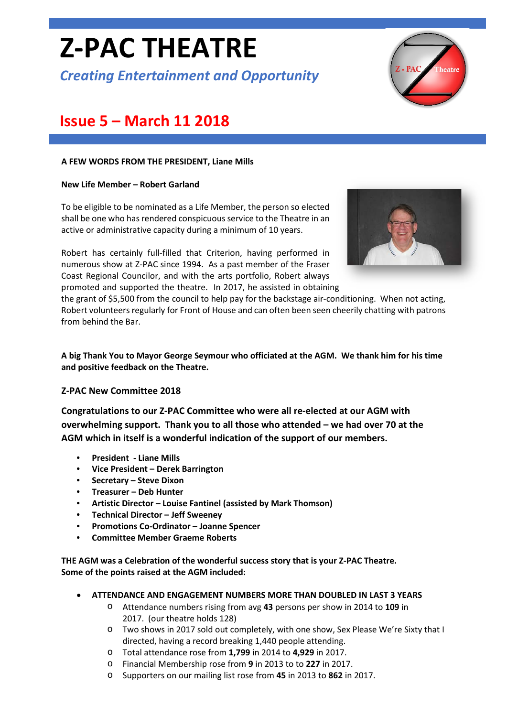# **Z-PAC THEATRE**

*Creating Entertainment and Opportunity*



# **Issue 5 – March 11 2018**

#### **A FEW WORDS FROM THE PRESIDENT, Liane Mills**

#### **New Life Member – Robert Garland**

To be eligible to be nominated as a Life Member, the person so elected shall be one who has rendered conspicuous service to the Theatre in an active or administrative capacity during a minimum of 10 years.

Robert has certainly full-filled that Criterion, having performed in numerous show at Z-PAC since 1994. As a past member of the Fraser Coast Regional Councilor, and with the arts portfolio, Robert always promoted and supported the theatre. In 2017, he assisted in obtaining



the grant of \$5,500 from the council to help pay for the backstage air-conditioning. When not acting, Robert volunteers regularly for Front of House and can often been seen cheerily chatting with patrons from behind the Bar.

**A big Thank You to Mayor George Seymour who officiated at the AGM. We thank him for his time and positive feedback on the Theatre.**

#### **Z-PAC New Committee 2018**

**Congratulations to our Z-PAC Committee who were all re-elected at our AGM with overwhelming support. Thank you to all those who attended – we had over 70 at the AGM which in itself is a wonderful indication of the support of our members.**

- **President - Liane Mills**
- **Vice President – Derek Barrington**
- **Secretary – Steve Dixon**
- **Treasurer – Deb Hunter**
- **Artistic Director – Louise Fantinel (assisted by Mark Thomson)**
- **Technical Director – Jeff Sweeney**
- **Promotions Co-Ordinator – Joanne Spencer**
- **Committee Member Graeme Roberts**

**THE AGM was a Celebration of the wonderful success story that is your Z-PAC Theatre. Some of the points raised at the AGM included:**

- **ATTENDANCE AND ENGAGEMENT NUMBERS MORE THAN DOUBLED IN LAST 3 YEARS**
	- o Attendance numbers rising from avg **43** persons per show in 2014 to **109** in 2017. (our theatre holds 128)
	- o Two shows in 2017 sold out completely, with one show, Sex Please We're Sixty that I directed, having a record breaking 1,440 people attending.
	- o Total attendance rose from **1,799** in 2014 to **4,929** in 2017.
	- o Financial Membership rose from **9** in 2013 to to **227** in 2017.
	- o Supporters on our mailing list rose from **45** in 2013 to **862** in 2017.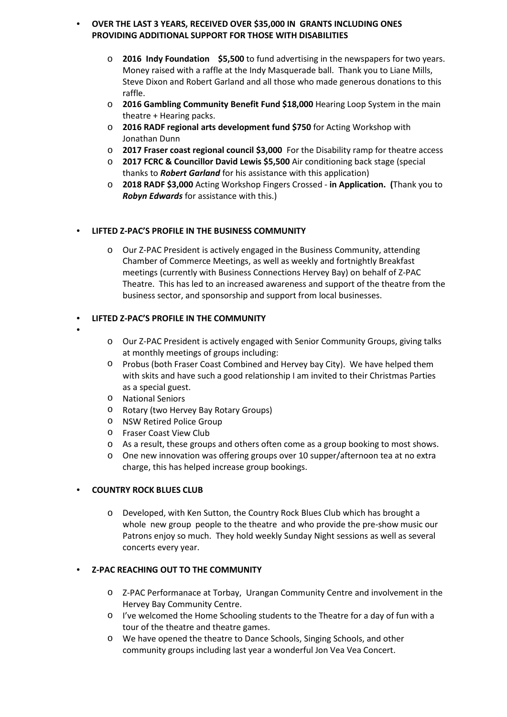#### • **OVER THE LAST 3 YEARS, RECEIVED OVER \$35,000 IN GRANTS INCLUDING ONES PROVIDING ADDITIONAL SUPPORT FOR THOSE WITH DISABILITIES**

- o **2016 Indy Foundation \$5,500** to fund advertising in the newspapers for two years. Money raised with a raffle at the Indy Masquerade ball. Thank you to Liane Mills, Steve Dixon and Robert Garland and all those who made generous donations to this raffle.
- o **2016 Gambling Community Benefit Fund \$18,000** Hearing Loop System in the main theatre + Hearing packs.
- o **2016 RADF regional arts development fund \$750** for Acting Workshop with Jonathan Dunn
- o **2017 Fraser coast regional council \$3,000** For the Disability ramp for theatre access
- o **2017 FCRC & Councillor David Lewis \$5,500** Air conditioning back stage (special thanks to *Robert Garland* for his assistance with this application)
- o **2018 RADF \$3,000** Acting Workshop Fingers Crossed **in Application. (**Thank you to *Robyn Edwards* for assistance with this.)

#### • **LIFTED Z-PAC'S PROFILE IN THE BUSINESS COMMUNITY**

o Our Z-PAC President is actively engaged in the Business Community, attending Chamber of Commerce Meetings, as well as weekly and fortnightly Breakfast meetings (currently with Business Connections Hervey Bay) on behalf of Z-PAC Theatre. This has led to an increased awareness and support of the theatre from the business sector, and sponsorship and support from local businesses.

#### • **LIFTED Z-PAC'S PROFILE IN THE COMMUNITY**

- •
- o Our Z-PAC President is actively engaged with Senior Community Groups, giving talks at monthly meetings of groups including:
- o Probus (both Fraser Coast Combined and Hervey bay City). We have helped them with skits and have such a good relationship I am invited to their Christmas Parties as a special guest.
- o National Seniors
- o Rotary (two Hervey Bay Rotary Groups)
- o NSW Retired Police Group
- o Fraser Coast View Club
- o As a result, these groups and others often come as a group booking to most shows.
- o One new innovation was offering groups over 10 supper/afternoon tea at no extra charge, this has helped increase group bookings.

#### • **COUNTRY ROCK BLUES CLUB**

o Developed, with Ken Sutton, the Country Rock Blues Club which has brought a whole new group people to the theatre and who provide the pre-show music our Patrons enjoy so much. They hold weekly Sunday Night sessions as well as several concerts every year.

#### • **Z-PAC REACHING OUT TO THE COMMUNITY**

- o Z-PAC Performanace at Torbay, Urangan Community Centre and involvement in the Hervey Bay Community Centre.
- o I've welcomed the Home Schooling students to the Theatre for a day of fun with a tour of the theatre and theatre games.
- o We have opened the theatre to Dance Schools, Singing Schools, and other community groups including last year a wonderful Jon Vea Vea Concert.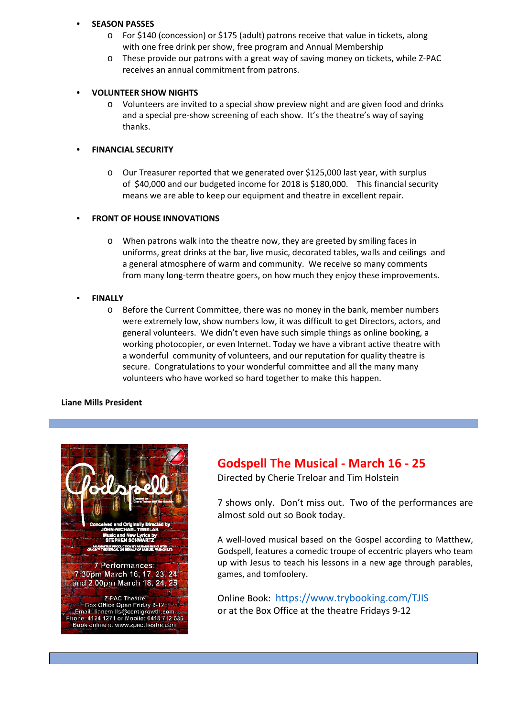#### • **SEASON PASSES**

- o For \$140 (concession) or \$175 (adult) patrons receive that value in tickets, along with one free drink per show, free program and Annual Membership
- o These provide our patrons with a great way of saving money on tickets, while Z-PAC receives an annual commitment from patrons.

#### • **VOLUNTEER SHOW NIGHTS**

o Volunteers are invited to a special show preview night and are given food and drinks and a special pre-show screening of each show. It's the theatre's way of saying thanks.

#### • **FINANCIAL SECURITY**

o Our Treasurer reported that we generated over \$125,000 last year, with surplus of \$40,000 and our budgeted income for 2018 is \$180,000. This financial security means we are able to keep our equipment and theatre in excellent repair.

#### **FRONT OF HOUSE INNOVATIONS**

o When patrons walk into the theatre now, they are greeted by smiling faces in uniforms, great drinks at the bar, live music, decorated tables, walls and ceilings and a general atmosphere of warm and community. We receive so many comments from many long-term theatre goers, on how much they enjoy these improvements.

#### • **FINALLY**

o Before the Current Committee, there was no money in the bank, member numbers were extremely low, show numbers low, it was difficult to get Directors, actors, and general volunteers. We didn't even have such simple things as online booking, a working photocopier, or even Internet. Today we have a vibrant active theatre with a wonderful community of volunteers, and our reputation for quality theatre is secure. Congratulations to your wonderful committee and all the many many volunteers who have worked so hard together to make this happen.

#### **Liane Mills President**



## **Godspell The Musical - March 16 - 25**

Directed by Cherie Treloar and Tim Holstein

7 shows only. Don't miss out. Two of the performances are almost sold out so Book today.

A well-loved musical based on the Gospel according to Matthew, Godspell, features a comedic troupe of eccentric players who team up with Jesus to teach his lessons in a new age through parables, games, and tomfoolery.

Online Book: <https://www.trybooking.com/TJIS> or at the Box Office at the theatre Fridays 9-12